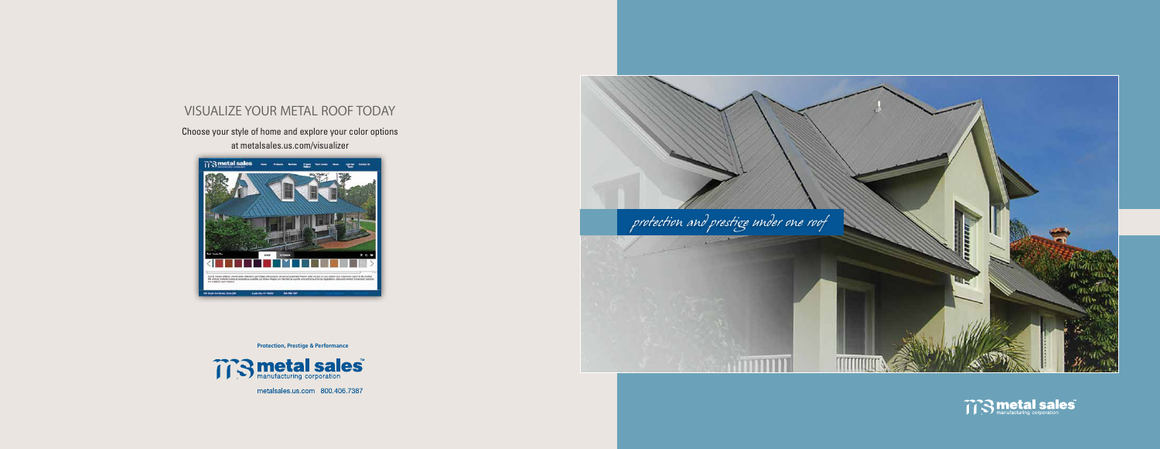**Protection, Prestige & Performance**



metalsales.us.com 800.406.7387

# visualize your metal roof today





Choose your style of home and explore your color options at metalsales.us.com/visualizer

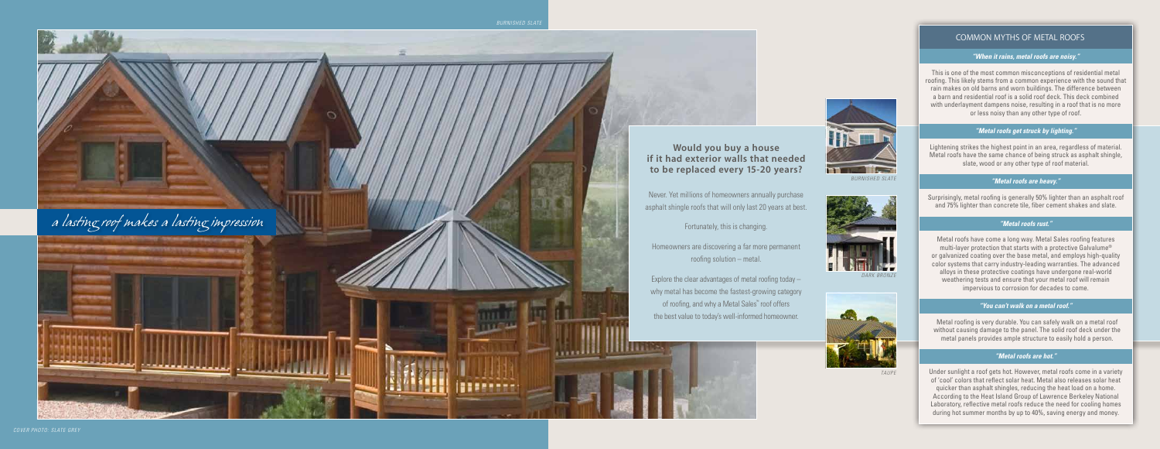## **Would you buy a house if it had exterior walls that needed to be replaced every 15-20 years?**

Never. Yet millions of homeowners annually purchase asphalt shingle roofs that will only last 20 years at best.

Homeowners are discovering a far more permanent roofing solution – metal.



Explore the clear advantages of metal roofing today – why metal has become the fastest-growing category of roofing, and why a Metal Sales™ roof offers the best value to today's well-informed homeowner.



*Burnished slate*





*Taupe*

#### COMMON MYTHS OF METAL RO

#### *"When it rains, metal roofs are noisy."*

This is one of the most common misconceptions of residential metal roofing. This likely stems from a common experience with the sound that rain makes on old barns and worn buildings. The difference between a barn and residential roof is a solid roof deck. This deck combined with underlayment dampens noise, resulting in a roof that is no more or less noisy than any other type of roof.

#### *"Metal roofs get struck by lighting."*

Lightening strikes the highest point in an area, regardless of material. Metal roofs have the same chance of being struck as asphalt shingle, slate, wood or any other type of roof material.

#### *"Metal roofs are heavy."*

Surprisingly, metal roofing is generally 50% lighter than an asphalt roof and 75% lighter than concrete tile, fiber cement shakes and slate.

#### *"Metal roofs rust."*

Metal roofs have come a long way. Metal Sales roofing features multi-layer protection that starts with a protective Galvalume ® or galvanized coating over the base metal, and employs high-quality color systems that carry industry-leading warranties. The advanced alloys in these protective coatings have undergone real-world weathering tests and ensure that your metal roof will remain impervious to corrosion for decades to come.

#### *"You can't walk on a metal roof."*

Metal roofing is very durable. You can safely walk on a metal roof without causing damage to the panel. The solid roof deck under the metal panels provides ample structure to easily hold a person.

#### *"Metal roofs are hot."*

Under sunlight a roof gets hot. However, metal roofs come in a variety of 'cool' colors that reflect solar heat. Metal also releases solar heat quicker than asphalt shingles, reducing the heat load on a home. According to the Heat Island Group of Lawrence Berkeley National Laboratory, reflective metal roofs reduce the need for cooling homes during hot summer months by up to 40%, saving energy and money.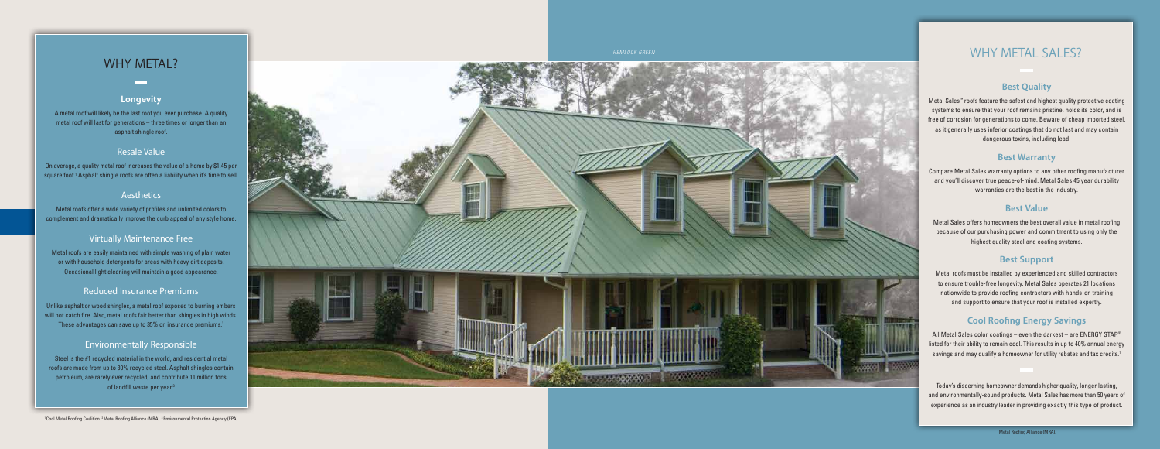#### **Longevity**

A metal roof will likely be the last roof you ever purchase. A quality metal roof will last for generations – three times or longer than an asphalt shingle roof.

On average, a quality metal roof increases the value of a home by \$1.45 per square foot.<sup>1</sup> Asphalt shingle roofs are often a liability when it's time to sell.

#### **Aesthetics**

### Resale Value

Unlike asphalt or wood shingles, a metal roof exposed to burning embers will not catch fire. Also, metal roofs fair better than shingles in high winds. These advantages can save up to 35% on insurance premiums.<sup>2</sup>

Metal roofs offer a wide variety of profiles and unlimited colors to complement and dramatically improve the curb appeal of any style home.

#### Virtually Maintenance Free

Metal roofs are easily maintained with simple washing of plain water or with household detergents for areas with heavy dirt deposits. Occasional light cleaning will maintain a good appearance.

### Reduced Insurance Premiums

### Environmentally Responsible

Steel is the #1 recycled material in the world, and residential metal roofs are made from up to 30% recycled steel. Asphalt shingles contain petroleum, are rarely ever recycled, and contribute 11 million tons of landfill waste per year. 3



### **Best Quality**

All Metal Sales color coatings – even the darkest – are <code>ENERGY</code> STAR® listed for their ability to remain cool. This results in up to 40% annual energy savings and may qualify a homeowner for utility rebates and tax credits. 1

Metal Sales ™ roofs feature the safest and highest quality protective coating systems to ensure that your roof remains pristine, holds its color, and is free of corrosion for generations to come. Beware of cheap imported steel, as it generally uses inferior coatings that do not last and may contain dangerous toxins, including lead.

### **Best Warranty**

Compare Metal Sales warranty options to any other roofing manufacturer and you'll discover true peace-of-mind. Metal Sales 45 year durability warranties are the best in the industry.

## **Best Value**

Metal Sales offers homeowners the best overall value in metal roofing because of our purchasing power and commitment to using only the highest quality steel and coating systems.

## **Best Support**

Metal roofs must be installed by experienced and skilled contractors to ensure trouble-free longevity. Metal Sales operates 21 locations nationwide to provide roofing contractors with hands-on training and support to ensure that your roof is installed expertly.

# **Cool Roofing Energy Savings**

# WHY METAL SALES?

*Hemlo ck Green*

# WHY METAL?

Today's discerning homeowner demands higher quality, longer lasting, and environmentally-sound products. Metal Sales has more than 50 years of experience as an industry leader in providing exactly this type of product.